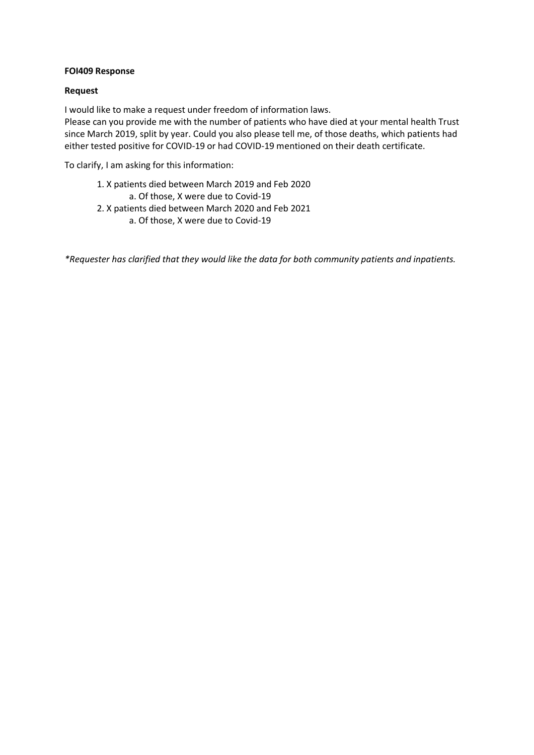## **FOI409 Response**

## **Request**

I would like to make a request under freedom of information laws.

Please can you provide me with the number of patients who have died at your mental health Trust since March 2019, split by year. Could you also please tell me, of those deaths, which patients had either tested positive for COVID-19 or had COVID-19 mentioned on their death certificate.

To clarify, I am asking for this information:

- 1. X patients died between March 2019 and Feb 2020
	- a. Of those, X were due to Covid-19
- 2. X patients died between March 2020 and Feb 2021 a. Of those, X were due to Covid-19

*\*Requester has clarified that they would like the data for both community patients and inpatients.*